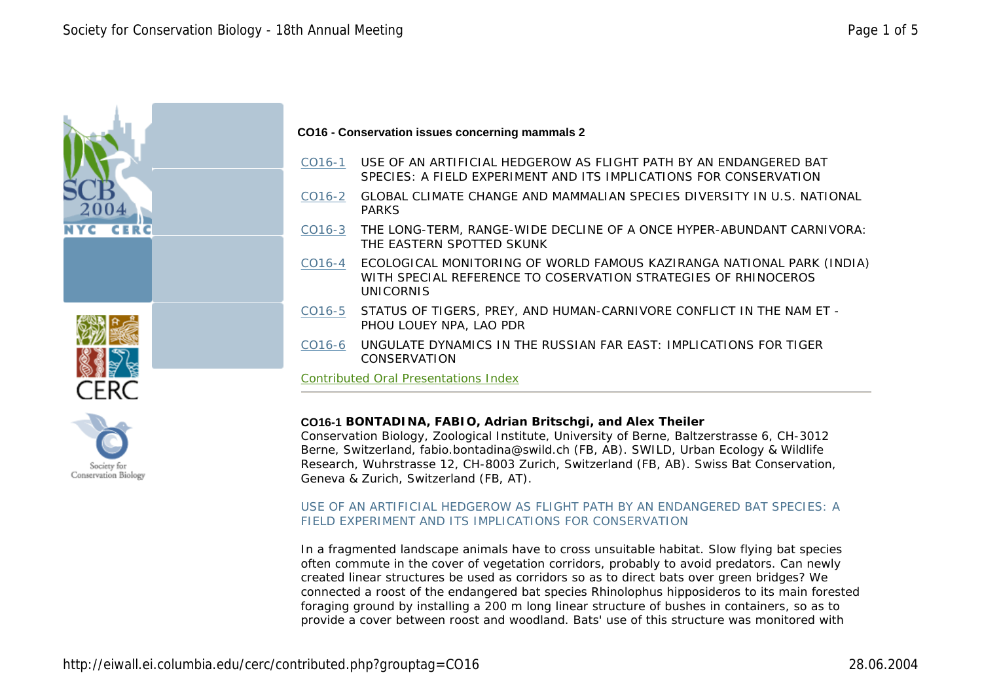

- CO16-1 USE OF AN ARTIFICIAL HEDGEROW AS FLIGHT PATH BY AN ENDANGERED BAT SPECIES: A FIELD EXPERIMENT AND ITS IMPLICATIONS FOR CONSERVATION
- CO16-2 GLOBAL CLIMATE CHANGE AND MAMMALIAN SPECIES DIVERSITY IN U.S. NATIONAL PARKS
- CO16-3 THE LONG-TERM, RANGE-WIDE DECLINE OF A ONCE HYPER-ABUNDANT CARNIVORA: THE EASTERN SPOTTED SKUNK
- CO16-4 ECOLOGICAL MONITORING OF WORLD FAMOUS KAZIRANGA NATIONAL PARK (INDIA) WITH SPECIAL REFERENCE TO COSERVATION STRATEGIES OF RHINOCEROS UNICORNIS
- CO16-5 STATUS OF TIGERS, PREY, AND HUMAN-CARNIVORE CONFLICT IN THE NAM ET PHOU LOUEY NPA, LAO PDR
- CO16-6 UNGULATE DYNAMICS IN THE RUSSIAN FAR EAST: IMPLICATIONS FOR TIGER CONSERVATION

Contributed Oral Presentations Index

## **CO16-1 BONTADINA, FABIO, Adrian Britschgi, and Alex Theiler**

Conservation Biology, Zoological Institute, University of Berne, Baltzerstrasse 6, CH-3012 Berne, Switzerland, fabio.bontadina@swild.ch (FB, AB). SWILD, Urban Ecology & Wildlife Research, Wuhrstrasse 12, CH-8003 Zurich, Switzerland (FB, AB). Swiss Bat Conservation, Geneva & Zurich, Switzerland (FB, AT).

#### USE OF AN ARTIFICIAL HEDGEROW AS FLIGHT PATH BY AN ENDANGERED BAT SPECIES: A FIELD EXPERIMENT AND ITS IMPLICATIONS FOR CONSERVATION

In a fragmented landscape animals have to cross unsuitable habitat. Slow flying bat species often commute in the cover of vegetation corridors, probably to avoid predators. Can newly created linear structures be used as corridors so as to direct bats over green bridges? We connected a roost of the endangered bat species *Rhinolophus hipposideros* to its main forested foraging ground by installing a 200 m long linear structure of bushes in containers, so as to provide a cover between roost and woodland. Bats' use of this structure was monitored with



CERC

NVC

**CER**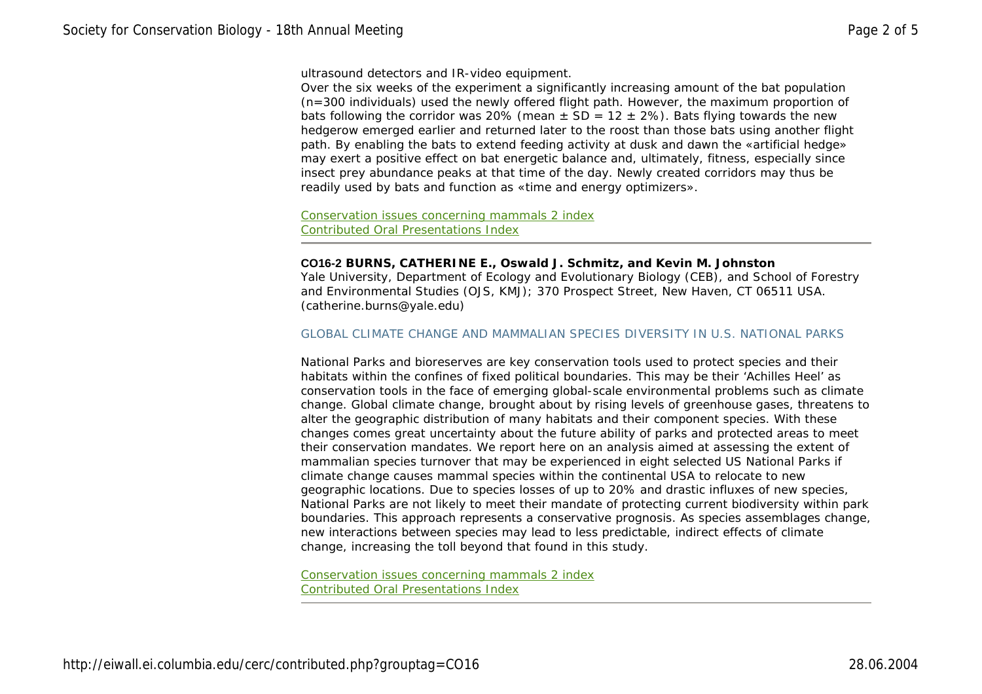ultrasound detectors and IR-video equipment.

Over the six weeks of the experiment a significantly increasing amount of the bat population (n=300 individuals) used the newly offered flight path. However, the maximum proportion of bats following the corridor was 20% (mean  $\pm$  SD = 12  $\pm$  2%). Bats flying towards the new hedgerow emerged earlier and returned later to the roost than those bats using another flight path. By enabling the bats to extend feeding activity at dusk and dawn the «artificial hedge» may exert a positive effect on bat energetic balance and, ultimately, fitness, especially since insect prey abundance peaks at that time of the day. Newly created corridors may thus be readily used by bats and function as «time and energy optimizers».

Conservation issues concerning mammals 2 index Contributed Oral Presentations Index

## **CO16-2 BURNS, CATHERINE E., Oswald J. Schmitz, and Kevin M. Johnston**

Yale University, Department of Ecology and Evolutionary Biology (CEB), and School of Forestry and Environmental Studies (OJS, KMJ); 370 Prospect Street, New Haven, CT 06511 USA. (catherine.burns@yale.edu)

#### GLOBAL CLIMATE CHANGE AND MAMMALIAN SPECIES DIVERSITY IN U.S. NATIONAL PARKS

National Parks and bioreserves are key conservation tools used to protect species and their habitats within the confines of fixed political boundaries. This may be their 'Achilles Heel' as conservation tools in the face of emerging global-scale environmental problems such as climate change. Global climate change, brought about by rising levels of greenhouse gases, threatens to alter the geographic distribution of many habitats and their component species. With these changes comes great uncertainty about the future ability of parks and protected areas to meet their conservation mandates. We report here on an analysis aimed at assessing the extent of mammalian species turnover that may be experienced in eight selected US National Parks if climate change causes mammal species within the continental USA to relocate to new geographic locations. Due to species losses of up to 20% and drastic influxes of new species, National Parks are not likely to meet their mandate of protecting current biodiversity within park boundaries. This approach represents a conservative prognosis. As species assemblages change, new interactions between species may lead to less predictable, indirect effects of climate change, increasing the toll beyond that found in this study.

Conservation issues concerning mammals 2 index Contributed Oral Presentations Index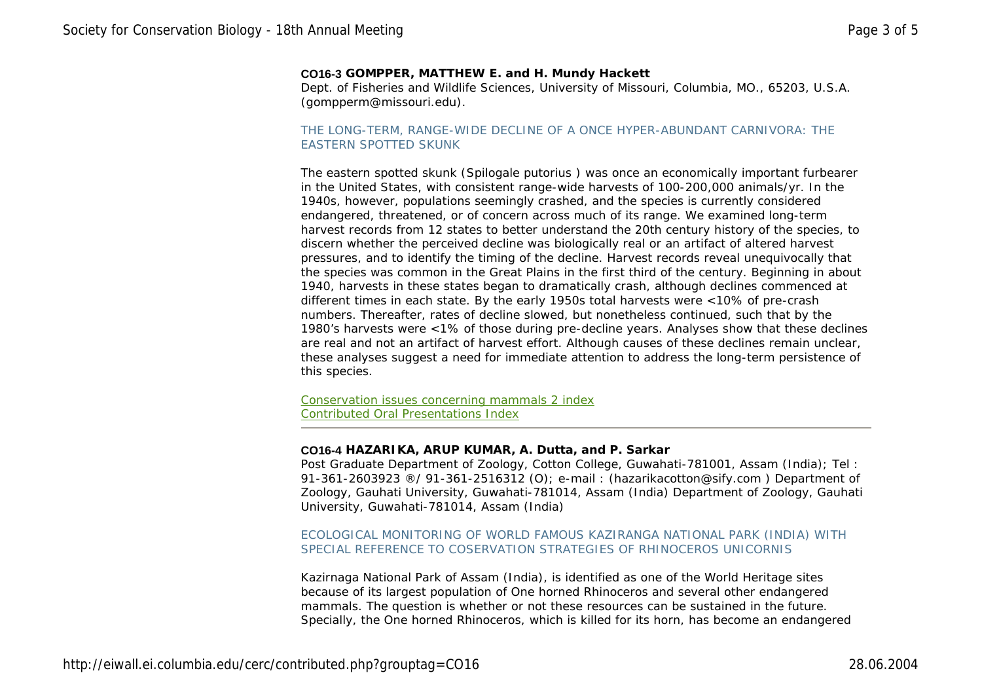### **CO16-3 GOMPPER, MATTHEW E. and H. Mundy Hackett**

Dept. of Fisheries and Wildlife Sciences, University of Missouri, Columbia, MO., 65203, U.S.A. (gompperm@missouri.edu).

### THE LONG-TERM, RANGE-WIDE DECLINE OF A ONCE HYPER-ABUNDANT CARNIVORA: THE EASTERN SPOTTED SKUNK

The eastern spotted skunk (*Spilogale putorius* ) was once an economically important furbearer in the United States, with consistent range-wide harvests of 100-200,000 animals/yr. In the 1940s, however, populations seemingly crashed, and the species is currently considered endangered, threatened, or of concern across much of its range. We examined long-term harvest records from 12 states to better understand the 20th century history of the species, to discern whether the perceived decline was biologically real or an artifact of altered harvest pressures, and to identify the timing of the decline. Harvest records reveal unequivocally that the species was common in the Great Plains in the first third of the century. Beginning in about 1940, harvests in these states began to dramatically crash, although declines commenced at different times in each state. By the early 1950s total harvests were <10% of pre-crash numbers. Thereafter, rates of decline slowed, but nonetheless continued, such that by the 1980's harvests were <1% of those during pre-decline years. Analyses show that these declines are real and not an artifact of harvest effort. Although causes of these declines remain unclear, these analyses suggest a need for immediate attention to address the long-term persistence of this species.

Conservation issues concerning mammals 2 index Contributed Oral Presentations Index

#### **CO16-4 HAZARIKA, ARUP KUMAR, A. Dutta, and P. Sarkar**

Post Graduate Department of Zoology, Cotton College, Guwahati-781001, Assam (India); Tel : 91-361-2603923 ®/ 91-361-2516312 (O); e-mail : (hazarikacotton@sify.com ) Department of Zoology, Gauhati University, Guwahati-781014, Assam (India) Department of Zoology, Gauhati University, Guwahati-781014, Assam (India)

## ECOLOGICAL MONITORING OF WORLD FAMOUS KAZIRANGA NATIONAL PARK (INDIA) WITH SPECIAL REFERENCE TO COSERVATION STRATEGIES OF RHINOCEROS UNICORNIS

Kazirnaga National Park of Assam (India), is identified as one of the World Heritage sites because of its largest population of One horned Rhinoceros and several other endangered mammals. The question is whether or not these resources can be sustained in the future. Specially, the One horned Rhinoceros, which is killed for its horn, has become an endangered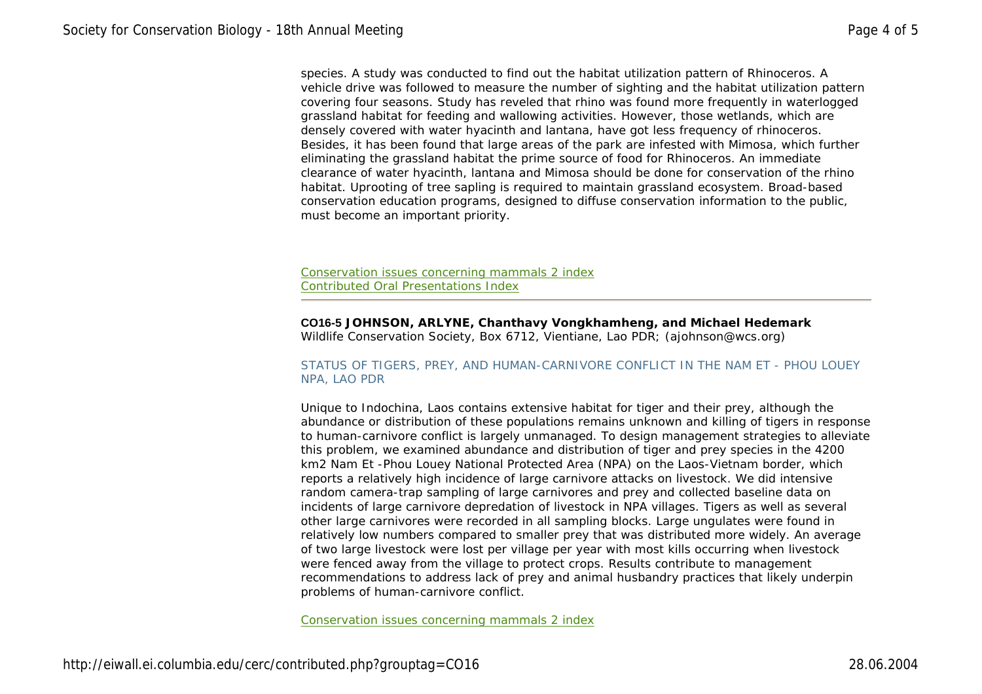species. A study was conducted to find out the habitat utilization pattern of Rhinoceros. A vehicle drive was followed to measure the number of sighting and the habitat utilization pattern covering four seasons. Study has reveled that rhino was found more frequently in waterlogged grassland habitat for feeding and wallowing activities. However, those wetlands, which are densely covered with water hyacinth and lantana, have got less frequency of rhinoceros. Besides, it has been found that large areas of the park are infested with Mimosa, which further eliminating the grassland habitat the prime source of food for Rhinoceros. An immediate clearance of water hyacinth, lantana and Mimosa should be done for conservation of the rhino habitat. Uprooting of tree sapling is required to maintain grassland ecosystem. Broad-based conservation education programs, designed to diffuse conservation information to the public, must become an important priority.

Conservation issues concerning mammals 2 index Contributed Oral Presentations Index

**CO16-5 JOHNSON, ARLYNE, Chanthavy Vongkhamheng, and Michael Hedemark**  Wildlife Conservation Society, Box 6712, Vientiane, Lao PDR; (ajohnson@wcs.org)

# STATUS OF TIGERS, PREY, AND HUMAN-CARNIVORE CONFLICT IN THE NAM ET - PHOU LOUEY NPA, LAO PDR

Unique to Indochina, Laos contains extensive habitat for tiger and their prey, although the abundance or distribution of these populations remains unknown and killing of tigers in response to human-carnivore conflict is largely unmanaged. To design management strategies to alleviate this problem, we examined abundance and distribution of tiger and prey species in the 4200 km2 Nam Et -Phou Louey National Protected Area (NPA) on the Laos-Vietnam border, which reports a relatively high incidence of large carnivore attacks on livestock. We did intensive random camera-trap sampling of large carnivores and prey and collected baseline data on incidents of large carnivore depredation of livestock in NPA villages. Tigers as well as several other large carnivores were recorded in all sampling blocks. Large ungulates were found in relatively low numbers compared to smaller prey that was distributed more widely. An average of two large livestock were lost per village per year with most kills occurring when livestock were fenced away from the village to protect crops. Results contribute to management recommendations to address lack of prey and animal husbandry practices that likely underpin problems of human-carnivore conflict.

Conservation issues concerning mammals 2 index